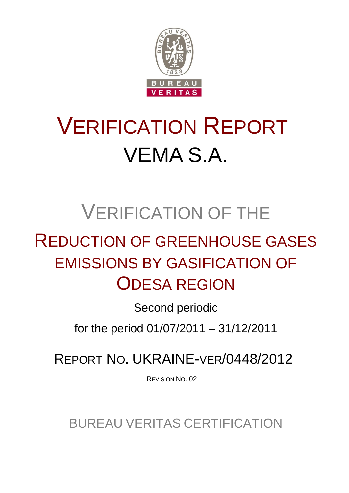

# VERIFICATION REPORT VEMA S.A.

# VERIFICATION OF THE

# REDUCTION OF GREENHOUSE GASES EMISSIONS BY GASIFICATION OF ODESA REGION

Second periodic

for the period 01/07/2011 – 31/12/2011

REPORT NO. UKRAINE-VER/0448/2012

REVISION NO. 02

BUREAU VERITAS CERTIFICATION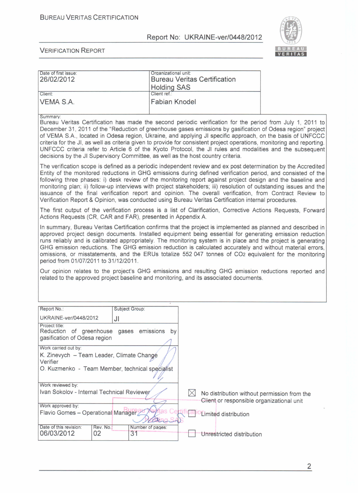

#### VERIFICATION REPORT

| Date of first issue:<br>26/02/2012 | Organizational unit:<br><b>Bureau Veritas Certification</b><br><b>Holding SAS</b> |  |
|------------------------------------|-----------------------------------------------------------------------------------|--|
| Client:                            | Client ref.:                                                                      |  |
|                                    | Fabian Knodel                                                                     |  |
| VEMA S.A.                          |                                                                                   |  |

Summarv:

Bureau Veritas Ceгtification has made the second periodic verification for the period from July 1, 2011 to ОесетЬег 31, 2011 of the "Reduction of greenhouse gases emissions Ьу gasification of Odesa region" project of VEMA S.A., located in Odesa region, Ukraine, and applying JI specific approach, оп the basis of UNFCCC criteria for the JI, as well as criteria given to provide for consistent pгoject operations, monitoring and repoгting. UNFCCC criteria refer to Aгticle 6 of the Kyoto Protocol, the JI rules and modalities and the subsequent decisions by the JI Supervisory Committee, as well as the host country criteria.

The verification scope is defined as a periodic independent review and ex post determination by the Accredited Entity of the monitored reductions in GHG emissions duгing defined verification period, and consisted of the following three phases: i) desk review of the monitoring report against project design and the baseline and monitoring plan; ii) follow-up inteгviews with project stakeholders; iii) resolution of outstanding issues and the issuance of the final verification гepoгt and opinion. The overall verification, fгom Contract Review to Verification Repoгt & Opinion, was conducted using Bureau Veritas Ceгtification internal procedures.

The first output of the verification process is a list of Clarification, Corrective Actions Requests, Forward Actions Requests (CR, CAR and FAR), presented in Appendix А.

In summary, Bureau Veritas Ceгtification confirms that the project is implemented as planned and described in approved pгoject design documents. Installed equipment being essential for generating emission reduction runs reliabIy and is calibrated appгopriately. The monitoring system is in place and the project is generating GHG emission reductions. The GHG emission reduction is calculated accurately and without material errors, omissions, ог misstatements, and the ERUs totalize 552047 tonnes of СО2 equivalent for the monitoring period from 01/07/2011 to 31/12/2011.

Our opinion relates to the project's GHG emissions and resulting GHG emission reductions repoгted and related to the approved project baseline and monitoring, and its associated documents.

| Report No.:                                                                                                                      |                 | Subject Group:         |  |                                                                                          |  |  |  |
|----------------------------------------------------------------------------------------------------------------------------------|-----------------|------------------------|--|------------------------------------------------------------------------------------------|--|--|--|
| UKRAINE-ver/0448/2012                                                                                                            | JI              |                        |  |                                                                                          |  |  |  |
| Project title:<br>Reduction of greenhouse gases emissions<br>bv<br>gasification of Odesa region                                  |                 |                        |  |                                                                                          |  |  |  |
| Work carried out by:<br>K. Zinevych – Team Leader, Climate Change<br>Verifier<br>O. Kuzmenko - Team Member, technical specialist |                 |                        |  |                                                                                          |  |  |  |
| Work reviewed by:                                                                                                                |                 |                        |  |                                                                                          |  |  |  |
| Ivan Sokolov - Internal Technical Reviewer                                                                                       |                 |                        |  | No distribution without permission from the<br>Client or responsible organizational unit |  |  |  |
| Work approved by:<br>Flavio Gomes - Operational Manager                                                                          |                 |                        |  | Limited distribution                                                                     |  |  |  |
| Date of this revision:<br>06/03/2012                                                                                             | Rev. No.:<br>02 | Number of pages:<br>31 |  | Unrestricted distribution                                                                |  |  |  |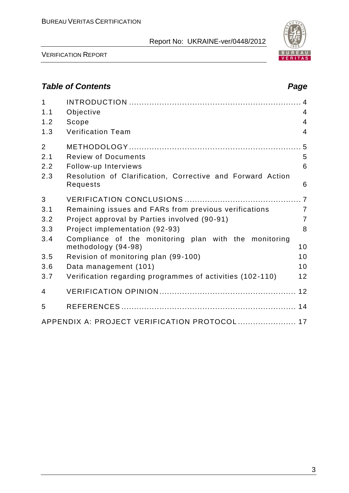

VERIFICATION REPORT

# *Table of Contents Page*

| $\mathbf{1}$   |                                                                              |                |
|----------------|------------------------------------------------------------------------------|----------------|
| 1.1            | Objective                                                                    | 4              |
| 1.2            | Scope                                                                        | $\overline{4}$ |
| 1.3            | <b>Verification Team</b>                                                     | $\overline{4}$ |
| $\overline{2}$ |                                                                              |                |
| 2.1            | <b>Review of Documents</b>                                                   | 5              |
| 2.2            | Follow-up Interviews                                                         | 6              |
| 2.3            | Resolution of Clarification, Corrective and Forward Action<br>Requests       | 6              |
| 3              |                                                                              |                |
| 3.1            | Remaining issues and FARs from previous verifications                        | $\overline{7}$ |
| 3.2            | Project approval by Parties involved (90-91)                                 | $\overline{7}$ |
| 3.3            | Project implementation (92-93)                                               | 8              |
| 3.4            | Compliance of the monitoring plan with the monitoring<br>methodology (94-98) | 10             |
| 3.5            | Revision of monitoring plan (99-100)                                         | 10             |
|                |                                                                              |                |
| 3.6            | Data management (101)                                                        | 10             |
| 3.7            | Verification regarding programmes of activities (102-110)                    | 12             |
| 4              |                                                                              |                |
| 5              |                                                                              |                |
|                | APPENDIX A: PROJECT VERIFICATION PROTOCOL  17                                |                |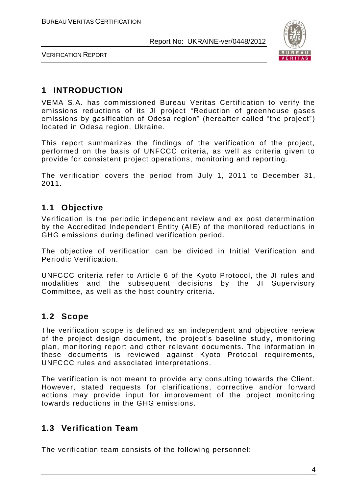

VERIFICATION REPORT

# **1 INTRODUCTION**

VEMA S.A. has commissioned Bureau Veritas Certification to verify the emissions reductions of its JI project "Reduction of greenhouse gases emissions by gasification of Odesa region" (hereafter called "the project") located in Odesa region, Ukraine.

This report summarizes the findings of the verification of the project, performed on the basis of UNFCCC criteria, as well as criteria given to provide for consistent project operations, monitoring and reporting.

The verification covers the period from July 1, 2011 to December 31, 2011.

#### **1.1 Objective**

Verification is the periodic independent review and ex post determination by the Accredited Independent Entity (AIE) of the monitored reductions in GHG emissions during defined verification period.

The objective of verification can be divided in Initial Verification and Periodic Verification.

UNFCCC criteria refer to Article 6 of the Kyoto Protocol, the JI rules and modalities and the subsequent decisions by the JI Supervisory Committee, as well as the host country criteria.

#### **1.2 Scope**

The verification scope is defined as an independent and objective review of the project design document, the project's baseline study, monitoring plan, monitoring report and other relevant documents. The information in these documents is reviewed against Kyoto Protocol requirements, UNFCCC rules and associated interpretations.

The verification is not meant to provide any consulting towards the Client. However, stated requests for clarifications, corrective and/or forward actions may provide input for improvement of the project monitoring towards reductions in the GHG emissions.

# **1.3 Verification Team**

The verification team consists of the following personnel: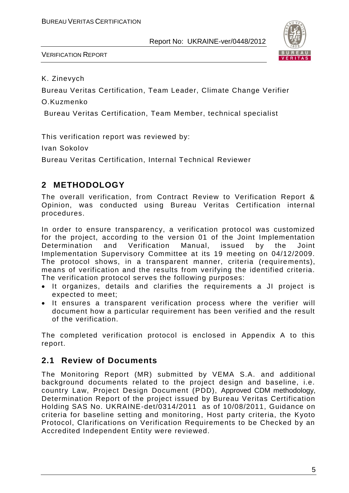

VERIFICATION REPORT

K. Zinevych

Bureau Veritas Certification, Team Leader, Climate Change Verifier

O.Kuzmenko

Bureau Veritas Certification, Team Member, technical specialist

This verification report was reviewed by:

Ivan Sokolov

Bureau Veritas Certification, Internal Technical Reviewer

# **2 METHODOLOGY**

The overall verification, from Contract Review to Verification Report & Opinion, was conducted using Bureau Veritas Certification internal procedures.

In order to ensure transparency, a verification protocol was customized for the project, according to the version 01 of the Joint Implementation Determination and Verification Manual, issued by the Joint Implementation Supervisory Committee at its 19 meeting on 04/12/2009. The protocol shows, in a transparent manner, criteria (require ments), means of verification and the results from verifying the identified criteria. The verification protocol serves the following purposes:

- It organizes, details and clarifies the requirements a JI project is expected to meet;
- It ensures a transparent verification process where the verifier will document how a particular requirement has been verified and the result of the verification.

The completed verification protocol is enclosed in Appendix A to this report.

#### **2.1 Review of Documents**

The Monitoring Report (MR) submitted by VEMA S.A. and additional background documents related to the project design and baseline, i.e. country Law, Project Design Document (PDD), Approved CDM methodology, Determination Report of the project issued by Bureau Veritas Certification Holding SAS No. UKRAINE-det/0314/2011 as of 10/08/2011, Guidance on criteria for baseline setting and monitoring, Host party criteria, the Kyoto Protocol, Clarifications on Verification Requirements to be Checked by an Accredited Independent Entity were reviewed.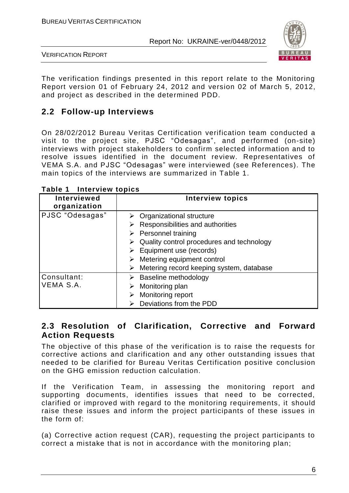

VERIFICATION REPORT

The verification findings presented in this report relate to the Monitoring Report version 01 of February 24, 2012 and version 02 of March 5, 2012, and project as described in the determined PDD.

### **2.2 Follow-up Interviews**

On 28/02/2012 Bureau Veritas Certification verification team conducted a visit to the project site, PJSC "Odesagas", and performed (on-site) interviews with project stakeholders to confirm selected information and to resolve issues identified in the document review. Representatives of VEMA S.A. and PJSC "Odesagas" were interviewed (see References). The main topics of the interviews are summarized in Table 1.

| Interviewed<br>organization | <b>Interview topics</b>                                                                                                                                                                                                                                                                                                                    |
|-----------------------------|--------------------------------------------------------------------------------------------------------------------------------------------------------------------------------------------------------------------------------------------------------------------------------------------------------------------------------------------|
| PJSC "Odesagas"             | $\triangleright$ Organizational structure<br>$\triangleright$ Responsibilities and authorities<br>$\triangleright$ Personnel training<br>$\triangleright$ Quality control procedures and technology<br>$\triangleright$ Equipment use (records)<br>Metering equipment control<br>$\triangleright$ Metering record keeping system, database |
| Consultant:<br>VEMA S.A.    | $\triangleright$ Baseline methodology<br>$\triangleright$ Monitoring plan<br>Monitoring report<br>Deviations from the PDD                                                                                                                                                                                                                  |

#### **Table 1 Interview topics**

#### **2.3 Resolution of Clarification, Corrective and Forward Action Requests**

The objective of this phase of the verification is to raise the requests for corrective actions and clarification and any other outstanding issues that needed to be clarified for Bureau Veritas Certification positive conclusion on the GHG emission reduction calculation.

If the Verification Team, in assessing the monitoring report and supporting documents, identifies issues that need to be corrected, clarified or improved with regard to the monitoring requirements, it should raise these issues and inform the project participants of these issues in the form of:

(a) Corrective action request (CAR), requesting the project participants to correct a mistake that is not in accordance with the monitoring plan;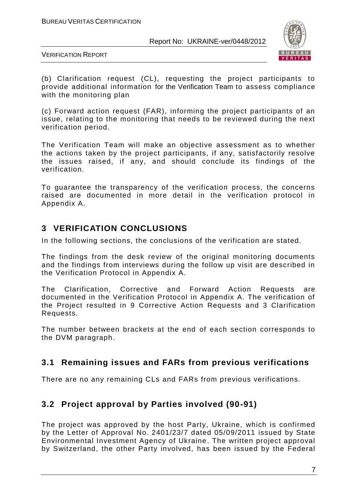

VERIFICATION REPORT

(b) Clarification request (CL), requesting the project participants to provide additional information for the Verification Team to assess compliance with the monitoring plan

(c) Forward action request (FAR), informing the project participants of an issue, relating to the monitoring that needs to be reviewed during the next verification period.

The Verification Team will make an objective assessment as to whether the actions taken by the project participants, if any, satisfactorily resolve the issues raised, if any, and should conclude its findings of the verification.

To guarantee the transparency of the verification process, the concerns raised are documented in more detail in the verification protocol in Appendix A.

# **3 VERIFICATION CONCLUSIONS**

In the following sections, the conclusions of the verification are stated.

The findings from the desk review of the original monitoring documents and the findings from interviews during the follow up visit are described in the Verification Protocol in Appendix A.

The Clarification, Corrective and Forward Action Requests are documented in the Verification Protocol in Appendix A. The verification of the Project resulted in 9 Corrective Action Requests and 3 Clarification Requests.

The number between brackets at the end of each section corresponds to the DVM paragraph.

# **3.1 Remaining issues and FARs from previous verifications**

There are no any remaining CLs and FARs from previous verifications.

# **3.2 Project approval by Parties involved (90-91)**

The project was approved by the host Party, Ukraine, which is confirmed by the Letter of Approval No. 2401/23/7 dated 05/09/2011 issued by State Environmental Investment Agency of Ukraine. The written project approval by Switzerland, the other Party involved, has been issued by the Federal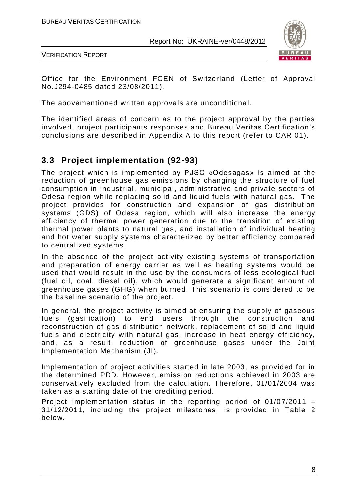

VERIFICATION REPORT

Office for the Environment FOEN of Switzerland (Letter of Approval No.J294-0485 dated 23/08/2011).

The abovementioned written approvals are unconditional.

The identified areas of concern as to the project approval by the parties involved, project participants responses and Bureau Veritas Certification's conclusions are described in Appendix A to this report (refer to CAR 01).

#### **3.3 Project implementation (92-93)**

The project which is implemented by PJSC «Odesagas» is aimed at the reduction of greenhouse gas emissions by changing the structure of fuel consumption in industrial, municipal, administrative and private sectors of Odesa region while replacing solid and liquid fuels with natural gas. The project provides for construction and expansion of gas distribution systems (GDS) of Odesa region, which will also increase the energy efficiency of thermal power generation due to the transition of existing thermal power plants to natural gas, and installation of individual heating and hot water supply systems characterized by better efficiency compared to centralized systems.

In the absence of the project activity existing systems of transportation and preparation of energy carrier as well as heating systems would be used that would result in the use by the consumers of less ecological fuel (fuel oil, coal, diesel oil), which would generate a significant amount of greenhouse gases (GHG) when burned. This scenario is considered to be the baseline scenario of the project.

In general, the project activity is aimed at ensuring the supply of gaseous fuels (gasification) to end users through the construction and reconstruction of gas distribution network, replacement of solid and liquid fuels and electricity with natural gas, increase in heat energy efficiency, and, as a result, reduction of greenhouse gases under the Joint Implementation Mechanism (JI).

Implementation of project activities started in late 2003, as provided for in the determined PDD. However, emission reductions a chieved in 2003 are conservatively excluded from the calculation. Therefore, 01/01/2004 was taken as a starting date of the crediting period.

Project implementation status in the reporting period of  $01/07/2011$  – 31/12/2011, including the project milestones, is provided in Table 2 below.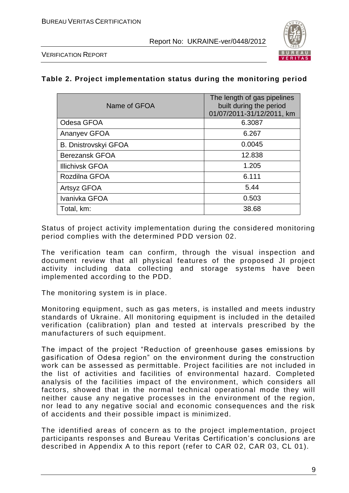

VERIFICATION REPORT

#### **Table 2. Project implementation status during the monitoring period**

| Name of GFOA                | The length of gas pipelines<br>built during the period<br>01/07/2011-31/12/2011, km |
|-----------------------------|-------------------------------------------------------------------------------------|
| Odesa GFOA                  | 6.3087                                                                              |
| Ananyev GFOA                | 6.267                                                                               |
| <b>B. Dnistrovskyi GFOA</b> | 0.0045                                                                              |
| <b>Berezansk GFOA</b>       | 12.838                                                                              |
| <b>Illichivsk GFOA</b>      | 1.205                                                                               |
| Rozdilna GFOA               | 6.111                                                                               |
| Artsyz GFOA                 | 5.44                                                                                |
| Ivanivka GFOA               | 0.503                                                                               |
| Total, km:                  | 38.68                                                                               |

Status of project activity implementation during the considered monitoring period complies with the determined PDD version 02.

The verification team can confirm, through the visual inspection and document review that all physical features of the proposed JI project activity including data collecting and storage systems have been implemented according to the PDD.

The monitoring system is in place.

Monitoring equipment, such as gas meters, is installed and meets industry standards of Ukraine. All monitoring equipment is included in the detailed verification (calibration) plan and tested at intervals prescribed by the manufacturers of such equipment.

The impact of the project "Reduction of greenhouse gases emissions by gasification of Odesa region" on the environment during the construction work can be assessed as permittable. Project facilities are not included in the list of activities and facilities of environmental hazard. Completed analysis of the facilities impact of the environment, which considers all factors, showed that in the normal technical operational mode they will neither cause any negative processes in the environment of the region, nor lead to any negative social and economic consequences and the risk of accidents and their possible impact is minimized.

The identified areas of concern as to the project implementation, project participants responses and Bureau Veritas Certification's conclusions are described in Appendix A to this report (refer to CAR 02, CAR 03, CL 01).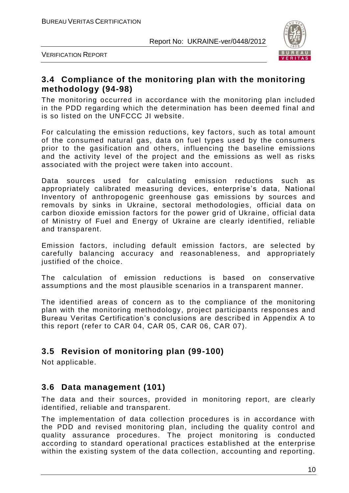

VERIFICATION REPORT

#### **3.4 Compliance of the monitoring plan with the monitoring methodology (94-98)**

The monitoring occurred in accordance with the monitoring plan included in the PDD regarding which the determination has been deemed final and is so listed on the UNFCCC JI website.

For calculating the emission reductions, key factors, such as total amount of the consumed natural gas, data on fuel types used by the consumers prior to the gasification and others, influencing the baseline emissions and the activity level of the project and the emissions as well as risks associated with the project were taken into account.

Data sources used for calculating emission reductions such as appropriately calibrated measuring devices, enterprise's data, National Inventory of anthropogenic greenhouse gas emissions by sources and removals by sinks in Ukraine, sectoral methodologies, official data on carbon dioxide emission factors for the power grid of Ukraine , official data of Ministry of Fuel and Energy of Ukraine are clearly identified, reliable and transparent.

Emission factors, including default emission factors, are selected by carefully balancing accuracy and reasonableness, and appropriately justified of the choice.

The calculation of emission reductions is based on conservative assumptions and the most plausible scenarios in a transparent manner.

The identified areas of concern as to the compliance of the monitoring plan with the monitoring methodology, project participants responses and Bureau Veritas Certification's conclusions are described in Appendix A to this report (refer to CAR 04, CAR 05, CAR 06, CAR 07).

#### **3.5 Revision of monitoring plan (99-100)**

Not applicable.

#### **3.6 Data management (101)**

The data and their sources, provided in monitoring report, are clearly identified, reliable and transparent.

The implementation of data collection procedures is in accordance with the PDD and revised monitoring plan, including the quality control and quality assurance procedures. The project monitoring is conducted according to standard operational practices established at the enterprise within the existing system of the data collection, accounting and reporting.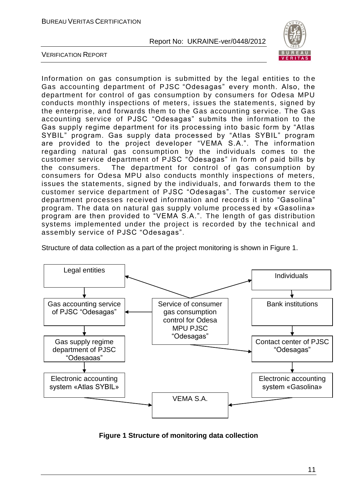

VERIFICATION REPORT

Information on gas consumption is submitted by the legal entities to the Gas accounting department of PJSC "Odesagas" every month. Also, the department for control of gas consumption by consumers for Odesa MPU conducts monthly inspections of meters, issues the statements, signed by the enterprise, and forwards them to the Gas accounting service. The Gas accounting service of PJSC "Odesagas" submits the information to the Gas supply regime department for its processing into basic form by "Atlas SYBIL" program. Gas supply data processed by "Atlas SYBIL" program are provided to the project developer "VEMA S.A.". The information regarding natural gas consumption by the individuals comes to the customer service department of PJSC "Odesagas" in form of paid bills by the consumers. The department for control of gas consumption by consumers for Odesa MPU also conducts monthly inspections of meters, issues the statements, signed by the individuals, and forwards them to the customer service department of PJSC "Odesagas". The customer service department processes received information and records it into "Gasolina" program. The data on natural gas supply volume process ed by «Gasolina» program are then provided to "VEMA S.A.". The length of gas distribution systems implemented under the project is recorded by the technical and assembly service of PJSC "Odesagas".

Structure of data collection as a part of the project monitoring is shown in Figure 1.



**Figure 1 Structure of monitoring data collection**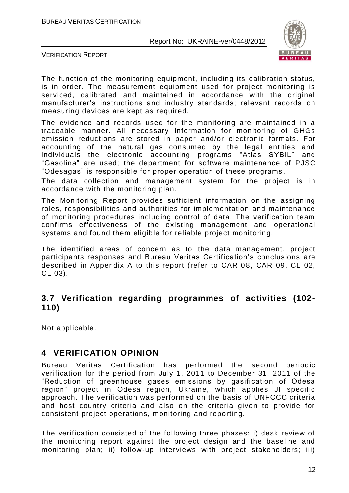

VERIFICATION REPORT

The function of the monitoring equipment, including its calibration status, is in order. The measurement equipment used for project monitoring is serviced, calibrated and maintained in accordance with the original manufacturer's instructions and industry standards; relevant records on measuring devices are kept as required.

The evidence and records used for the monitoring are maintained in a traceable manner. All necessary information for monitoring of GHGs emission reductions are stored in paper and/or electronic formats. For accounting of the natural gas consumed by the legal entities and individuals the electronic accounting programs "Atlas SYBIL" and "Gasolina" are used; the department for software maintenance of PJSC "Odesagas" is responsible for proper operation of these programs .

The data collection and management system for the project is in accordance with the monitoring plan.

The Monitoring Report provides sufficient information on the assigning roles, responsibilities and authorities for implementation and maintenance of monitoring procedures including control of data. The verification team confirms effectiveness of the existing management and operational systems and found them eligible for reliable project monitoring.

The identified areas of concern as to the data management, project participants responses and Bureau Veritas Certification's conclusions are described in Appendix A to this report (refer to CAR 08, CAR 09, CL 02, CL 03).

#### **3.7 Verification regarding programmes of activities (102- 110)**

Not applicable.

#### **4 VERIFICATION OPINION**

Bureau Veritas Certification has performed the second periodic verification for the period from July 1, 2011 to December 31, 2011 of the "Reduction of greenhouse gases emissions by gasification of Odesa region" project in Odesa region, Ukraine, which applies JI specific approach. The verification was performed on the basis of UNFCCC criteria and host country criteria and also on the criteria given to provide for consistent project operations, monitoring and reporting.

The verification consisted of the following three phases: i) desk review of the monitoring report against the project design and the baseline and monitoring plan; ii) follow-up interviews with project stakeholders; iii)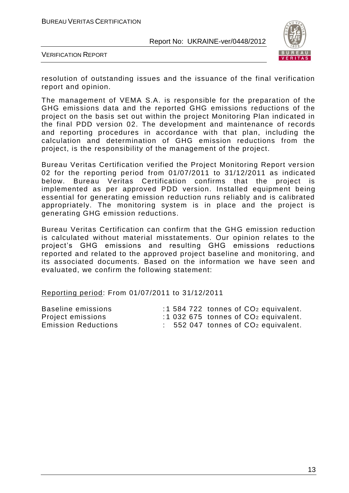

VERIFICATION REPORT

resolution of outstanding issues and the issuance of the final verification report and opinion.

The management of VEMA S.A. is responsible for the preparation of the GHG emissions data and the reported GHG emissions reductions of the project on the basis set out within the project Monitoring Plan indicated in the final PDD version 02. The development and maintenance of records and reporting procedures in accordance with that plan, including the calculation and determination of GHG emission reductions from the project, is the responsibility of the management of the project.

Bureau Veritas Certification verified the Project Monitoring Report version 02 for the reporting period from 01/07/2011 to 31/12/2011 as indicated below. Bureau Veritas Certification confirms that the project is implemented as per approved PDD version. Installed equipment being essential for generating emission reduction runs reliably and is calibrated appropriately. The monitoring system is in place and the project is generating GHG emission reductions.

Bureau Veritas Certification can confirm that the GHG emission reduction is calculated without material misstatements. Our opinion relates to the project's GHG emissions and resulting GHG emissions reductions reported and related to the approved project baseline and monitoring, and its associated documents. Based on the information we have seen and evaluated, we confirm the following statement:

Reporting period: From 01/07/2011 to 31/12/2011

| Baseline emissions         |  | $:1584722$ tonnes of $CO2$ equivalent.           |
|----------------------------|--|--------------------------------------------------|
| Project emissions          |  | $:1032675$ tonnes of $CO2$ equivalent.           |
| <b>Emission Reductions</b> |  | $\therefore$ 552 047 tonnes of $CO2$ equivalent. |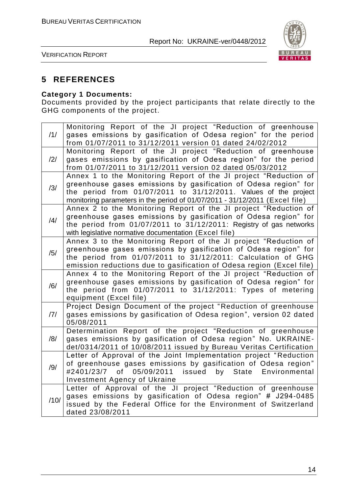

VERIFICATION REPORT

#### **5 REFERENCES**

#### **Category 1 Documents:**

Documents provided by the project participants that relate directly to the GHG components of the project.

| /1/  | Monitoring Report of the JI project "Reduction of greenhouse<br>gases emissions by gasification of Odesa region" for the period<br>from 01/07/2011 to 31/12/2011 version 01 dated 24/02/2012                                                                                          |
|------|---------------------------------------------------------------------------------------------------------------------------------------------------------------------------------------------------------------------------------------------------------------------------------------|
| /2/  | Monitoring Report of the JI project "Reduction of greenhouse<br>gases emissions by gasification of Odesa region" for the period<br>from 01/07/2011 to 31/12/2011 version 02 dated 05/03/2012                                                                                          |
| /3/  | Annex 1 to the Monitoring Report of the JI project "Reduction of<br>greenhouse gases emissions by gasification of Odesa region" for<br>the period from 01/07/2011 to 31/12/2011. Values of the project<br>monitoring parameters in the period of 01/07/2011 - 31/12/2011 (Excel file) |
| /4/  | Annex 2 to the Monitoring Report of the JI project "Reduction of<br>greenhouse gases emissions by gasification of Odesa region" for<br>the period from 01/07/2011 to 31/12/2011: Registry of gas networks<br>with legislative normative documentation (Excel file)                    |
| /5/  | Annex 3 to the Monitoring Report of the JI project "Reduction of<br>greenhouse gases emissions by gasification of Odesa region" for<br>the period from 01/07/2011 to 31/12/2011: Calculation of GHG<br>emission reductions due to gasification of Odesa region (Excel file)           |
| /6/  | Annex 4 to the Monitoring Report of the JI project "Reduction of<br>greenhouse gases emissions by gasification of Odesa region" for<br>the period from 01/07/2011 to 31/12/2011: Types of metering<br>equipment (Excel file)                                                          |
| 7    | Project Design Document of the project "Reduction of greenhouse<br>gases emissions by gasification of Odesa region", version 02 dated<br>05/08/2011                                                                                                                                   |
| /8/  | Determination Report of the project "Reduction of greenhouse<br>gases emissions by gasification of Odesa region" No. UKRAINE-<br>det/0314/2011 of 10/08/2011 issued by Bureau Veritas Certification                                                                                   |
| /9/  | Letter of Approval of the Joint Implementation project "Reduction<br>of greenhouse gases emissions by gasification of Odesa region"<br>05/09/2011<br>#2401/23/7 of<br>issued by State<br>Environmental<br><b>Investment Agency of Ukraine</b>                                         |
| /10/ | Letter of Approval of the JI project "Reduction of greenhouse<br>gases emissions by gasification of Odesa region" # J294-0485<br>issued by the Federal Office for the Environment of Switzerland<br>dated 23/08/2011                                                                  |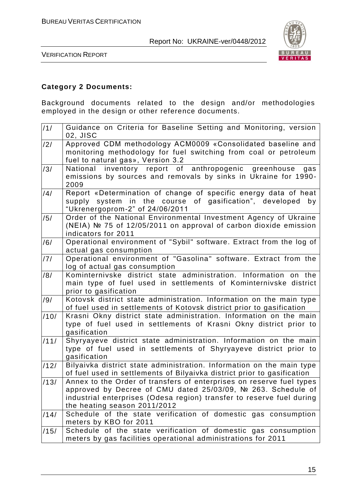

VERIFICATION REPORT

#### **Category 2 Documents:**

Background documents related to the design and/or methodologies employed in the design or other reference documents.

| /1/  | Guidance on Criteria for Baseline Setting and Monitoring, version<br>02, JISC                                                                                                                                                                 |
|------|-----------------------------------------------------------------------------------------------------------------------------------------------------------------------------------------------------------------------------------------------|
| /2/  | Approved CDM methodology ACM0009 «Consolidated baseline and<br>monitoring methodology for fuel switching from coal or petroleum<br>fuel to natural gas», Version 3.2                                                                          |
| /3/  | National inventory report of anthropogenic greenhouse<br>gas<br>emissions by sources and removals by sinks in Ukraine for 1990-<br>2009                                                                                                       |
| /4/  | Report «Determination of change of specific energy data of heat<br>system in the course of gasification", developed<br>supply<br>by<br>"Ukrenergoprom-2" of 24/06/2011                                                                        |
| /5/  | Order of the National Environmental Investment Agency of Ukraine<br>(NEIA) Nº 75 of 12/05/2011 on approval of carbon dioxide emission<br>indicators for 2011                                                                                  |
| /6/  | Operational environment of "Sybil" software. Extract from the log of<br>actual gas consumption                                                                                                                                                |
| /7/  | Operational environment of "Gasolina" software. Extract from the<br>log of actual gas consumption                                                                                                                                             |
| /8/  | Kominternivske district state administration. Information on the<br>main type of fuel used in settlements of Kominternivske district<br>prior to gasification                                                                                 |
| /9/  | Kotovsk district state administration. Information on the main type<br>of fuel used in settlements of Kotovsk district prior to gasification                                                                                                  |
| /10/ | Krasni Okny district state administration. Information on the main<br>type of fuel used in settlements of Krasni Okny district prior to<br>gasification                                                                                       |
| /11/ | Shyryayeve district state administration. Information on the main<br>type of fuel used in settlements of Shyryayeve district prior to<br>gasification                                                                                         |
| /12/ | Bilyaivka district state administration. Information on the main type<br>of fuel used in settlements of Bilyaivka district prior to gasification                                                                                              |
| /13/ | Annex to the Order of transfers of enterprises on reserve fuel types<br>approved by Decree of CMU dated 25/03/09, № 263. Schedule of<br>industrial enterprises (Odesa region) transfer to reserve fuel during<br>the heating season 2011/2012 |
| /14/ | Schedule of the state verification of domestic gas consumption<br>meters by KBO for 2011                                                                                                                                                      |
| /15/ | Schedule of the state verification of domestic gas consumption<br>meters by gas facilities operational administrations for 2011                                                                                                               |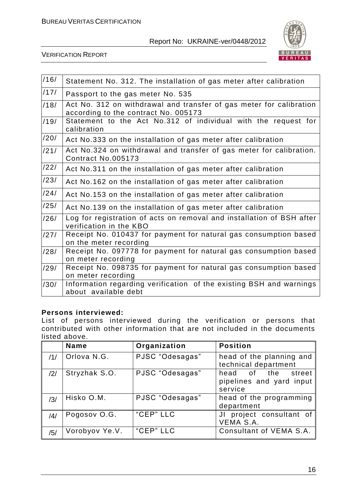

VERIFICATION REPORT

| /16/ | Statement No. 312. The installation of gas meter after calibration                                          |
|------|-------------------------------------------------------------------------------------------------------------|
| /17/ | Passport to the gas meter No. 535                                                                           |
| /18/ | Act No. 312 on withdrawal and transfer of gas meter for calibration<br>according to the contract No. 005173 |
| /19/ | Statement to the Act No.312 of individual with the request for<br>calibration                               |
| /20/ | Act No.333 on the installation of gas meter after calibration                                               |
| /21/ | Act No.324 on withdrawal and transfer of gas meter for calibration.<br>Contract No.005173                   |
| /22/ | Act No.311 on the installation of gas meter after calibration                                               |
| /23/ | Act No.162 on the installation of gas meter after calibration                                               |
| /24/ | Act No.153 on the installation of gas meter after calibration                                               |
| /25/ | Act No.139 on the installation of gas meter after calibration                                               |
| /26/ | Log for registration of acts on removal and installation of BSH after<br>verification in the KBO            |
| /27/ | Receipt No. 010437 for payment for natural gas consumption based<br>on the meter recording                  |
| /28/ | Receipt No. 097778 for payment for natural gas consumption based<br>on meter recording                      |
| /29/ | Receipt No. 098735 for payment for natural gas consumption based<br>on meter recording                      |
| /30/ | Information regarding verification of the existing BSH and warnings<br>about available debt                 |

#### **Persons interviewed:**

List of persons interviewed during the verification or persons that contributed with other information that are not included in the documents listed above.

|                | <b>Name</b>    | Organization    | <b>Position</b>                                           |
|----------------|----------------|-----------------|-----------------------------------------------------------|
| /1/            | Orlova N.G.    | PJSC "Odesagas" | head of the planning and<br>technical department          |
| $\frac{12}{1}$ | Stryzhak S.O.  | PJSC "Odesagas" | head of the street<br>pipelines and yard input<br>service |
| /3/            | Hisko O.M.     | PJSC "Odesagas" | head of the programming<br>department                     |
| /4/            | Pogosov O.G.   | "CEP" LLC       | JI project consultant of<br>VEMA S.A.                     |
| /5/            | Vorobyov Ye.V. | "CEP" LLC       | Consultant of VEMA S.A.                                   |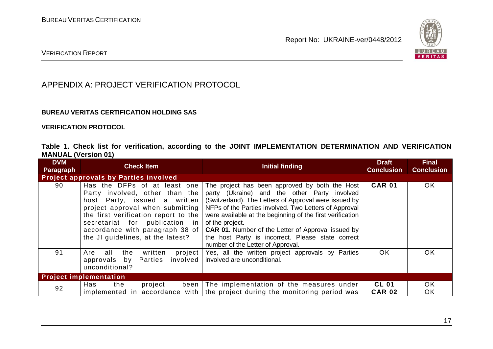

#### VERIFICATION REPORT

### APPENDIX A: PROJECT VERIFICATION PROTOCOL

#### **BUREAU VERITAS CERTIFICATION HOLDING SAS**

#### **VERIFICATION PROTOCOL**

|                            |  |  | Table 1. Check list for verification, according to the JOINT IMPLEMENTATION DETERMINATION AND VERIFICATION |  |  |
|----------------------------|--|--|------------------------------------------------------------------------------------------------------------|--|--|
| <b>MANUAL (Version 01)</b> |  |  |                                                                                                            |  |  |

| <b>DVM</b><br>Paragraph | <b>Check Item</b>                                                                                                                                                                                                                                                                            | <b>Initial finding</b>                                                                                                                                                                                                                                                                                                                                                                                                                                  | <b>Draft</b><br><b>Conclusion</b> | <b>Final</b><br><b>Conclusion</b> |
|-------------------------|----------------------------------------------------------------------------------------------------------------------------------------------------------------------------------------------------------------------------------------------------------------------------------------------|---------------------------------------------------------------------------------------------------------------------------------------------------------------------------------------------------------------------------------------------------------------------------------------------------------------------------------------------------------------------------------------------------------------------------------------------------------|-----------------------------------|-----------------------------------|
|                         | <b>Project approvals by Parties involved</b>                                                                                                                                                                                                                                                 |                                                                                                                                                                                                                                                                                                                                                                                                                                                         |                                   |                                   |
| 90                      | Has the DFPs of at least one<br>Party involved, other than the<br>host Party, issued a written<br>project approval when submitting<br>the first verification report to the<br>secretariat for publication in<br>accordance with paragraph 38 of $\vert$<br>the JI guidelines, at the latest? | The project has been approved by both the Host<br>party (Ukraine) and the other Party involved<br>(Switzerland). The Letters of Approval were issued by<br>NFPs of the Parties involved. Two Letters of Approval<br>were available at the beginning of the first verification<br>of the project.<br><b>CAR 01.</b> Number of the Letter of Approval issued by<br>the host Party is incorrect. Please state correct<br>number of the Letter of Approval. | <b>CAR 01</b>                     | <b>OK</b>                         |
| 91                      | written<br>all the<br>Are<br>Parties involved<br>approvals by<br>unconditional?                                                                                                                                                                                                              | project   Yes, all the written project approvals by Parties<br>involved are unconditional.                                                                                                                                                                                                                                                                                                                                                              | <b>OK</b>                         | <b>OK</b>                         |
|                         | <b>Project implementation</b>                                                                                                                                                                                                                                                                |                                                                                                                                                                                                                                                                                                                                                                                                                                                         |                                   |                                   |
| 92                      | Has<br>the<br>project                                                                                                                                                                                                                                                                        | been The implementation of the measures under<br>implemented in accordance with the project during the monitoring period was                                                                                                                                                                                                                                                                                                                            | <b>CL 01</b><br><b>CAR 02</b>     | OK.<br>OK                         |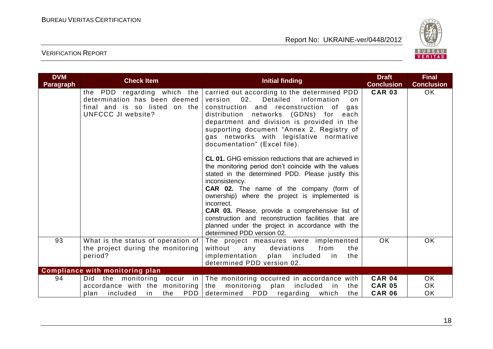

| <b>DVM</b><br><b>Paragraph</b> | <b>Check Item</b>                                                                                                          | <b>Initial finding</b>                                                                                                                                                                                                                                                                                                                                                                                                                                                                                                                                                                                                                                                                                                                                                                                                                                                    | <b>Draft</b><br><b>Conclusion</b>               | <b>Final</b><br><b>Conclusion</b> |
|--------------------------------|----------------------------------------------------------------------------------------------------------------------------|---------------------------------------------------------------------------------------------------------------------------------------------------------------------------------------------------------------------------------------------------------------------------------------------------------------------------------------------------------------------------------------------------------------------------------------------------------------------------------------------------------------------------------------------------------------------------------------------------------------------------------------------------------------------------------------------------------------------------------------------------------------------------------------------------------------------------------------------------------------------------|-------------------------------------------------|-----------------------------------|
|                                | the PDD regarding which the<br>determination has been deemed<br>final and is so listed on the<br><b>UNFCCC JI website?</b> | carried out according to the determined PDD<br>02.<br>Detailed<br>information<br>version<br>on<br>construction and reconstruction of<br>gas<br>distribution networks (GDNs) for<br>each<br>department and division is provided in the<br>supporting document "Annex 2. Registry of<br>gas networks with legislative normative<br>documentation" (Excel file).<br><b>CL 01.</b> GHG emission reductions that are achieved in<br>the monitoring period don't coincide with the values<br>stated in the determined PDD. Please justify this<br>inconsistency.<br><b>CAR 02.</b> The name of the company (form of<br>ownership) where the project is implemented is<br>incorrect.<br>CAR 03. Please, provide a comprehensive list of<br>construction and reconstruction facilities that are<br>planned under the project in accordance with the<br>determined PDD version 02. | <b>CAR 03</b>                                   | OK.                               |
| 93                             | What is the status of operation of $ $<br>the project during the monitoring<br>period?                                     | The project measures were implemented<br>from<br>without<br>deviations<br>any<br>the<br>implementation<br>included<br>plan<br>in<br>the<br>determined PDD version 02.                                                                                                                                                                                                                                                                                                                                                                                                                                                                                                                                                                                                                                                                                                     | OK                                              | <b>OK</b>                         |
|                                | <b>Compliance with monitoring plan</b>                                                                                     |                                                                                                                                                                                                                                                                                                                                                                                                                                                                                                                                                                                                                                                                                                                                                                                                                                                                           |                                                 |                                   |
| 94                             | Did<br>the<br>monitoring<br>accordance with the monitoring<br>PDD  <br>included<br>the<br>plan<br>in.                      | occur in The monitoring occurred in accordance with<br>monitoring plan<br>the<br>included<br>in<br>the<br>determined PDD<br>which<br>regarding<br>the                                                                                                                                                                                                                                                                                                                                                                                                                                                                                                                                                                                                                                                                                                                     | <b>CAR 04</b><br><b>CAR 05</b><br><b>CAR 06</b> | OK.<br>0K<br><b>OK</b>            |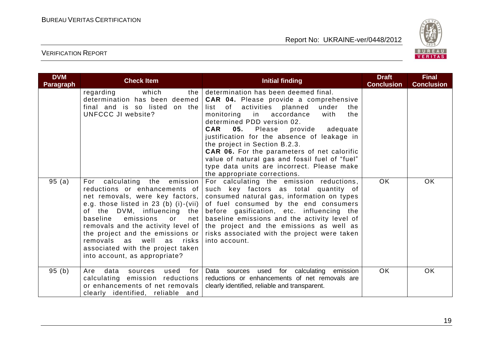

| <b>DVM</b><br><b>Paragraph</b> | <b>Check Item</b>                                                                                                                                                                                                                                                                                                                                                  | <b>Initial finding</b>                                                                                                                                                                                                                                                                                                                                                                                                                                                                                                                             | <b>Draft</b><br><b>Conclusion</b> | <b>Final</b><br><b>Conclusion</b> |
|--------------------------------|--------------------------------------------------------------------------------------------------------------------------------------------------------------------------------------------------------------------------------------------------------------------------------------------------------------------------------------------------------------------|----------------------------------------------------------------------------------------------------------------------------------------------------------------------------------------------------------------------------------------------------------------------------------------------------------------------------------------------------------------------------------------------------------------------------------------------------------------------------------------------------------------------------------------------------|-----------------------------------|-----------------------------------|
|                                | which<br>regarding<br>determination has been deemed  <br>final and is so listed on the<br>UNFCCC JI website?                                                                                                                                                                                                                                                       | the determination has been deemed final.<br><b>CAR 04.</b> Please provide a comprehensive<br>list of activities planned<br>under<br>the<br>monitoring<br>in<br>accordance<br>the<br>with<br>determined PDD version 02.<br><b>CAR</b><br>05.<br>Please<br>provide<br>adequate<br>justification for the absence of leakage in<br>the project in Section B.2.3.<br><b>CAR 06.</b> For the parameters of net calorific<br>value of natural gas and fossil fuel of "fuel"<br>type data units are incorrect. Please make<br>the appropriate corrections. |                                   |                                   |
| 95(a)                          | For calculating the emission<br>reductions or enhancements of<br>net removals, were key factors,<br>e.g. those listed in 23 (b) (i)-(vii) $ $<br>emissions<br>baseline<br>net<br>0r<br>removals and the activity level of  <br>the project and the emissions or<br>removals as well as risks<br>associated with the project taken<br>into account, as appropriate? | For calculating the emission reductions,<br>such key factors as total quantity of<br>consumed natural gas, information on types<br>of fuel consumed by the end consumers<br>of the DVM, influencing the before gasification, etc. influencing the<br>baseline emissions and the activity level of<br>the project and the emissions as well as<br>risks associated with the project were taken<br>into account.                                                                                                                                     | <b>OK</b>                         | <b>OK</b>                         |
| 95(b)                          | Are<br>data<br>sources used<br>for<br>calculating emission reductions<br>or enhancements of net removals<br>clearly identified, reliable and                                                                                                                                                                                                                       | Data sources used for calculating emission<br>reductions or enhancements of net removals are<br>clearly identified, reliable and transparent.                                                                                                                                                                                                                                                                                                                                                                                                      | OK.                               | OK.                               |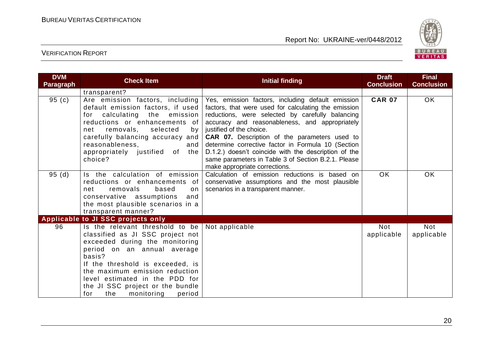

| <b>DVM</b><br><b>Paragraph</b> | <b>Check Item</b>                                                                                                                                                                                                                                                                                                                               | <b>Initial finding</b>                                                                                                                                                                                                                                                                                                                                                                                                                                                                                    | <b>Draft</b><br><b>Conclusion</b> | <b>Final</b><br><b>Conclusion</b> |
|--------------------------------|-------------------------------------------------------------------------------------------------------------------------------------------------------------------------------------------------------------------------------------------------------------------------------------------------------------------------------------------------|-----------------------------------------------------------------------------------------------------------------------------------------------------------------------------------------------------------------------------------------------------------------------------------------------------------------------------------------------------------------------------------------------------------------------------------------------------------------------------------------------------------|-----------------------------------|-----------------------------------|
|                                | transparent?                                                                                                                                                                                                                                                                                                                                    |                                                                                                                                                                                                                                                                                                                                                                                                                                                                                                           |                                   |                                   |
| 95(c)                          | Are emission factors, including<br>default emission factors, if used<br>for calculating the emission<br>reductions or enhancements of<br>removals, selected<br>net<br>by<br>carefully balancing accuracy and<br>reasonableness,<br>and<br>appropriately justified of the<br>choice?                                                             | Yes, emission factors, including default emission<br>factors, that were used for calculating the emission<br>reductions, were selected by carefully balancing<br>accuracy and reasonableness, and appropriately<br>justified of the choice.<br><b>CAR 07.</b> Description of the parameters used to<br>determine corrective factor in Formula 10 (Section<br>D.1.2.) doesn't coincide with the description of the<br>same parameters in Table 3 of Section B.2.1. Please<br>make appropriate corrections. | <b>CAR 07</b>                     | OK                                |
| 95(d)                          | Is the calculation of emission<br>reductions or enhancements of<br>removals<br>based<br>net<br>on<br>conservative assumptions<br>and<br>the most plausible scenarios in a<br>transparent manner?                                                                                                                                                | Calculation of emission reductions is based on<br>conservative assumptions and the most plausible<br>scenarios in a transparent manner.                                                                                                                                                                                                                                                                                                                                                                   | <b>OK</b>                         | OK                                |
|                                | Applicable to JI SSC projects only                                                                                                                                                                                                                                                                                                              |                                                                                                                                                                                                                                                                                                                                                                                                                                                                                                           |                                   |                                   |
| 96                             | Is the relevant threshold to be Not applicable<br>classified as JI SSC project not<br>exceeded during the monitoring<br>period on an annual average<br>basis?<br>If the threshold is exceeded, is<br>the maximum emission reduction<br>level estimated in the PDD for<br>the JI SSC project or the bundle<br>for<br>the<br>monitoring<br>period |                                                                                                                                                                                                                                                                                                                                                                                                                                                                                                           | <b>Not</b><br>applicable          | <b>Not</b><br>applicable          |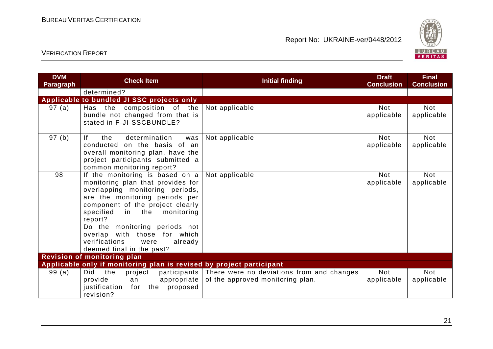

| <b>DVM</b><br><b>Paragraph</b> | <b>Check Item</b>                                                                                                                                                                                                                                                                                                                                               | <b>Initial finding</b>                                                                     | <b>Draft</b><br><b>Conclusion</b> | <b>Final</b><br><b>Conclusion</b> |
|--------------------------------|-----------------------------------------------------------------------------------------------------------------------------------------------------------------------------------------------------------------------------------------------------------------------------------------------------------------------------------------------------------------|--------------------------------------------------------------------------------------------|-----------------------------------|-----------------------------------|
|                                | determined?                                                                                                                                                                                                                                                                                                                                                     |                                                                                            |                                   |                                   |
|                                | Applicable to bundled JI SSC projects only                                                                                                                                                                                                                                                                                                                      |                                                                                            |                                   |                                   |
| 97 (a)                         | Has the composition of the<br>bundle not changed from that is<br>stated in F-JI-SSCBUNDLE?                                                                                                                                                                                                                                                                      | Not applicable                                                                             | <b>Not</b><br>applicable          | <b>Not</b><br>applicable          |
| 97 (b)                         | determination<br>-lf<br>the<br>was<br>conducted on the basis of an<br>overall monitoring plan, have the<br>project participants submitted a<br>common monitoring report?                                                                                                                                                                                        | Not applicable                                                                             | <b>Not</b><br>applicable          | <b>Not</b><br>applicable          |
| 98                             | If the monitoring is based on a<br>monitoring plan that provides for<br>overlapping monitoring periods,<br>are the monitoring periods per<br>component of the project clearly<br>specified<br>monitoring<br>in the<br>report?<br>Do the monitoring periods not<br>overlap with those for which<br>verifications<br>already<br>were<br>deemed final in the past? | Not applicable                                                                             | <b>Not</b><br>applicable          | <b>Not</b><br>applicable          |
|                                | <b>Revision of monitoring plan</b>                                                                                                                                                                                                                                                                                                                              |                                                                                            |                                   |                                   |
|                                | Applicable only if monitoring plan is revised by project participant                                                                                                                                                                                                                                                                                            |                                                                                            |                                   |                                   |
| 99(a)                          | Did<br>the<br>project<br>provide<br>appropriate  <br>an<br>justification<br>the<br>proposed<br>for<br>revision?                                                                                                                                                                                                                                                 | participants There were no deviations from and changes<br>of the approved monitoring plan. | <b>Not</b><br>applicable          | <b>Not</b><br>applicable          |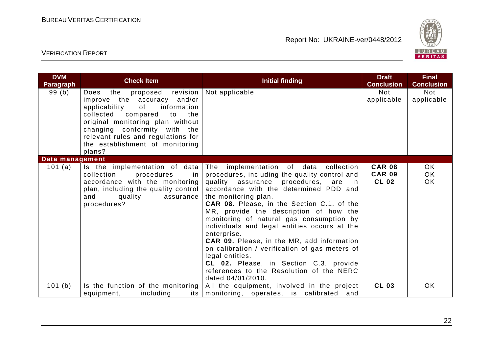

| <b>DVM</b><br><b>Paragraph</b> | <b>Check Item</b>                                                                                                                                                                                                                                                                            | <b>Initial finding</b>                                                                                                                                                                                                                                                                                                                                                                                                                                                                                                                                                                                                                         | <b>Draft</b><br><b>Conclusion</b>              | <b>Final</b><br><b>Conclusion</b> |
|--------------------------------|----------------------------------------------------------------------------------------------------------------------------------------------------------------------------------------------------------------------------------------------------------------------------------------------|------------------------------------------------------------------------------------------------------------------------------------------------------------------------------------------------------------------------------------------------------------------------------------------------------------------------------------------------------------------------------------------------------------------------------------------------------------------------------------------------------------------------------------------------------------------------------------------------------------------------------------------------|------------------------------------------------|-----------------------------------|
| 99 (b)                         | the proposed revision<br>Does<br>improve the accuracy and/or<br>applicability<br>of<br>information<br>collected compared<br>to<br>the<br>original monitoring plan without<br>changing conformity with the<br>relevant rules and regulations for<br>the establishment of monitoring<br>plans? | Not applicable                                                                                                                                                                                                                                                                                                                                                                                                                                                                                                                                                                                                                                 | <b>Not</b><br>applicable                       | Not<br>applicable                 |
| Data management                |                                                                                                                                                                                                                                                                                              |                                                                                                                                                                                                                                                                                                                                                                                                                                                                                                                                                                                                                                                |                                                |                                   |
| 101 $(a)$                      | Is the implementation of data<br>collection<br>procedures<br>in<br>accordance with the monitoring<br>plan, including the quality control  <br>and<br>quality<br>assurance<br>procedures?                                                                                                     | The implementation of data collection<br>procedures, including the quality control and<br>quality assurance procedures, are<br>in in<br>accordance with the determined PDD and<br>the monitoring plan.<br>CAR 08. Please, in the Section C.1. of the<br>MR, provide the description of how the<br>monitoring of natural gas consumption by<br>individuals and legal entities occurs at the<br>enterprise.<br><b>CAR 09.</b> Please, in the MR, add information<br>on calibration / verification of gas meters of<br>legal entities.<br>CL 02. Please, in Section C.3. provide<br>references to the Resolution of the NERC<br>dated 04/01/2010. | <b>CAR 08</b><br><b>CAR 09</b><br><b>CL 02</b> | OK.<br>OK.<br><b>OK</b>           |
| 101 (b)                        | Is the function of the monitoring<br>including<br>equipment,                                                                                                                                                                                                                                 | All the equipment, involved in the project<br>its monitoring, operates, is calibrated and                                                                                                                                                                                                                                                                                                                                                                                                                                                                                                                                                      | <b>CL 03</b>                                   | OK                                |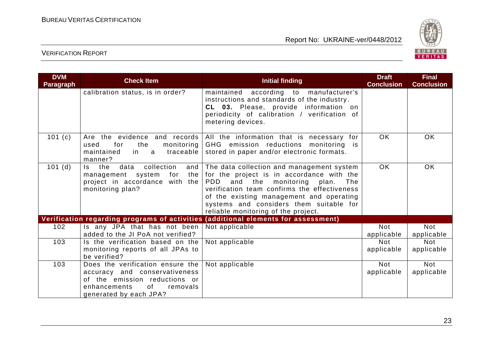

| <b>DVM</b><br><b>Paragraph</b> | <b>Check Item</b>                                                                                                                                              | <b>Initial finding</b>                                                                                                                                                                                                                                                                                                   | <b>Draft</b><br><b>Conclusion</b> | <b>Final</b><br><b>Conclusion</b> |
|--------------------------------|----------------------------------------------------------------------------------------------------------------------------------------------------------------|--------------------------------------------------------------------------------------------------------------------------------------------------------------------------------------------------------------------------------------------------------------------------------------------------------------------------|-----------------------------------|-----------------------------------|
|                                | calibration status, is in order?                                                                                                                               | maintained according to manufacturer's<br>instructions and standards of the industry.<br>CL 03. Please, provide information on<br>periodicity of calibration / verification of<br>metering devices.                                                                                                                      |                                   |                                   |
| 101 $(c)$                      | the<br>monitoring  <br>used<br>for<br>maintained<br>traceable<br>in l<br>$\mathbf{a}$<br>manner?                                                               | Are the evidence and records All the information that is necessary for<br>GHG emission reductions monitoring is<br>stored in paper and/or electronic formats.                                                                                                                                                            | <b>OK</b>                         | OK                                |
| 101(d)                         | collection<br>the<br>data<br>and<br>Is.<br>management system<br>for<br>the<br>project in accordance with the<br>monitoring plan?                               | The data collection and management system<br>for the project is in accordance with the<br><b>PDD</b><br>and the monitoring<br>plan.<br>The<br>verification team confirms the effectiveness<br>of the existing management and operating<br>systems and considers them suitable for<br>reliable monitoring of the project. | <b>OK</b>                         | OK                                |
|                                |                                                                                                                                                                | Verification regarding programs of activities (additional elements for assessment)                                                                                                                                                                                                                                       |                                   |                                   |
| 102                            | Is any JPA that has not been<br>added to the JI PoA not verified?                                                                                              | Not applicable                                                                                                                                                                                                                                                                                                           | <b>Not</b><br>applicable          | <b>Not</b><br>applicable          |
| 103                            | Is the verification based on the<br>monitoring reports of all JPAs to<br>be verified?                                                                          | Not applicable                                                                                                                                                                                                                                                                                                           | <b>Not</b><br>applicable          | <b>Not</b><br>applicable          |
| 103                            | Does the verification ensure the<br>accuracy and conservativeness<br>of the emission reductions or<br>enhancements<br>0f<br>removals<br>generated by each JPA? | Not applicable                                                                                                                                                                                                                                                                                                           | <b>Not</b><br>applicable          | <b>Not</b><br>applicable          |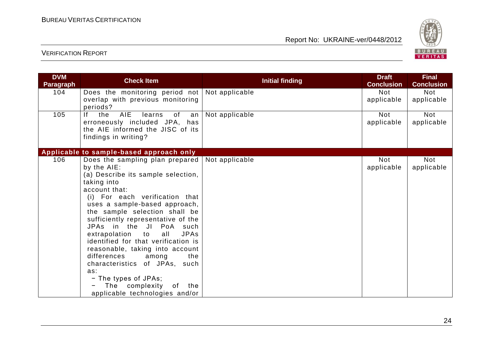

| <b>DVM</b><br><b>Paragraph</b> | <b>Check Item</b>                                                                                                                                                                                                                                                                                                                                                                                                                                                                                               | <b>Initial finding</b> | <b>Draft</b><br><b>Conclusion</b> | <b>Final</b><br><b>Conclusion</b> |
|--------------------------------|-----------------------------------------------------------------------------------------------------------------------------------------------------------------------------------------------------------------------------------------------------------------------------------------------------------------------------------------------------------------------------------------------------------------------------------------------------------------------------------------------------------------|------------------------|-----------------------------------|-----------------------------------|
| 104                            | Does the monitoring period not<br>overlap with previous monitoring                                                                                                                                                                                                                                                                                                                                                                                                                                              | Not applicable         | <b>Not</b><br>applicable          | <b>Not</b><br>applicable          |
| 105                            | periods?<br><b>AIE</b><br>lf.<br>the<br>of<br>learns<br>an<br>erroneously included JPA, has<br>the AIE informed the JISC of its<br>findings in writing?                                                                                                                                                                                                                                                                                                                                                         | Not applicable         | <b>Not</b><br>applicable          | <b>Not</b><br>applicable          |
|                                | Applicable to sample-based approach only                                                                                                                                                                                                                                                                                                                                                                                                                                                                        |                        |                                   |                                   |
| 106                            | Does the sampling plan prepared<br>by the AIE:<br>(a) Describe its sample selection,<br>taking into<br>account that:<br>(i) For each verification that<br>uses a sample-based approach,<br>the sample selection shall be<br>sufficiently representative of the<br>JPAs in the JI PoA<br>such<br>extrapolation to<br>all<br><b>JPAs</b><br>identified for that verification is<br>reasonable, taking into account<br>differences<br>the<br>among<br>characteristics of JPAs, such<br>as:<br>- The types of JPAs; | Not applicable         | <b>Not</b><br>applicable          | <b>Not</b><br>applicable          |
|                                | The complexity<br>of<br>the<br>applicable technologies and/or                                                                                                                                                                                                                                                                                                                                                                                                                                                   |                        |                                   |                                   |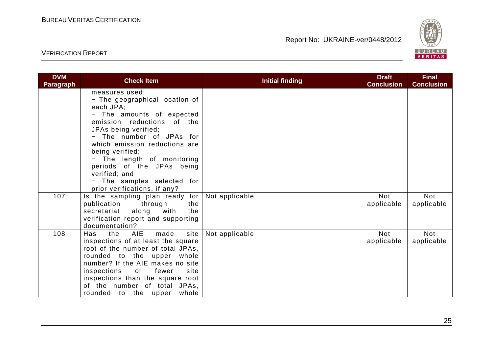

| <b>DVM</b><br><b>Paragraph</b> | <b>Check Item</b>                                                                                                                                                                                                                                                                                                                                                          | <b>Initial finding</b> | <b>Draft</b><br><b>Conclusion</b> | <b>Final</b><br><b>Conclusion</b> |
|--------------------------------|----------------------------------------------------------------------------------------------------------------------------------------------------------------------------------------------------------------------------------------------------------------------------------------------------------------------------------------------------------------------------|------------------------|-----------------------------------|-----------------------------------|
|                                | measures used;<br>- The geographical location of<br>each JPA;<br>- The amounts of expected<br>emission reductions of the<br>JPAs being verified;<br>- The number of JPAs for<br>which emission reductions are<br>being verified;<br>- The length of monitoring<br>periods of the JPAs being<br>verified; and<br>- The samples selected for<br>prior verifications, if any? |                        |                                   |                                   |
| 107                            | Is the sampling plan ready for<br>publication<br>through<br>the<br>along<br>secretariat<br>with<br>the<br>verification report and supporting<br>documentation?                                                                                                                                                                                                             | Not applicable         | <b>Not</b><br>applicable          | Not<br>applicable                 |
| 108                            | AIE<br>the<br>made<br>site<br>Has<br>inspections of at least the square<br>root of the number of total JPAs,<br>rounded to the upper whole<br>number? If the AIE makes no site<br>inspections<br>fewer<br>or<br>site<br>inspections than the square root<br>of the number of total JPAs,<br>rounded to the upper<br>whole                                                  | Not applicable         | <b>Not</b><br>applicable          | <b>Not</b><br>applicable          |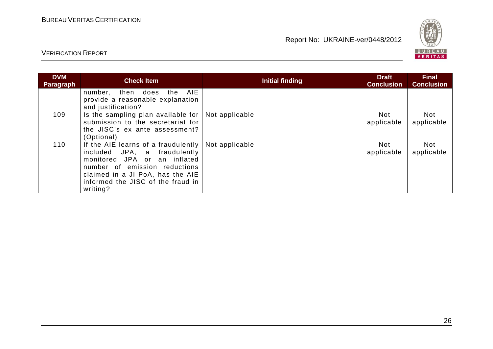

| <b>DVM</b><br>Paragraph | <b>Check Item</b>                                                                                                                                                                                                                          | <b>Initial finding</b> | <b>Draft</b><br><b>Conclusion</b> | <b>Final</b><br><b>Conclusion</b> |
|-------------------------|--------------------------------------------------------------------------------------------------------------------------------------------------------------------------------------------------------------------------------------------|------------------------|-----------------------------------|-----------------------------------|
|                         | AIE<br>then does the<br>number,<br>provide a reasonable explanation<br>and justification?                                                                                                                                                  |                        |                                   |                                   |
| 109                     | Is the sampling plan available for $\vert$ Not applicable<br>submission to the secretariat for<br>the JISC's ex ante assessment?<br>(Optional)                                                                                             |                        | Not<br>applicable                 | <b>Not</b><br>applicable          |
| 110                     | If the AIE learns of a fraudulently   Not applicable<br>included JPA, a fraudulently<br>monitored JPA or an inflated<br>number of emission reductions<br>claimed in a JI PoA, has the AIE<br>informed the JISC of the fraud in<br>writing? |                        | Not<br>applicable                 | Not<br>applicable                 |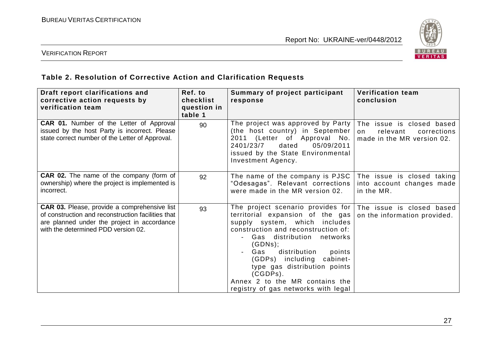

#### VERIFICATION REPORT

# **Table 2. Resolution of Corrective Action and Clarification Requests**

| Draft report clarifications and<br>corrective action requests by<br>verification team                                                                                                           | Ref. to<br>checklist<br>question in<br>table 1 | Summary of project participant<br>response                                                                                                                                                                                                                                                                                                                                     | <b>Verification team</b><br>conclusion                                                   |
|-------------------------------------------------------------------------------------------------------------------------------------------------------------------------------------------------|------------------------------------------------|--------------------------------------------------------------------------------------------------------------------------------------------------------------------------------------------------------------------------------------------------------------------------------------------------------------------------------------------------------------------------------|------------------------------------------------------------------------------------------|
| <b>CAR 01.</b> Number of the Letter of Approval<br>issued by the host Party is incorrect. Please<br>state correct number of the Letter of Approval.                                             | 90                                             | The project was approved by Party<br>(the host country) in September<br>2011 (Letter of Approval No.<br>2401/23/7<br>dated<br>05/09/2011<br>issued by the State Environmental<br>Investment Agency.                                                                                                                                                                            | The issue is closed based<br>relevant<br>corrections<br>on<br>made in the MR version 02. |
| <b>CAR 02.</b> The name of the company (form of<br>ownership) where the project is implemented is<br>incorrect.                                                                                 | 92                                             | The name of the company is PJSC<br>"Odesagas". Relevant corrections<br>were made in the MR version 02.                                                                                                                                                                                                                                                                         | The issue is closed taking<br>into account changes made<br>in the MR.                    |
| <b>CAR 03.</b> Please, provide a comprehensive list<br>of construction and reconstruction facilities that<br>are planned under the project in accordance<br>with the determined PDD version 02. | 93                                             | The project scenario provides for<br>territorial expansion of the gas<br>supply system, which includes<br>construction and reconstruction of:<br>Gas distribution<br>networks<br>(GDNs);<br>distribution<br>Gas<br>points<br>(GDPs) including cabinet-<br>type gas distribution points<br>$(CGDPs)$ .<br>Annex 2 to the MR contains the<br>registry of gas networks with legal | The issue is closed based<br>on the information provided.                                |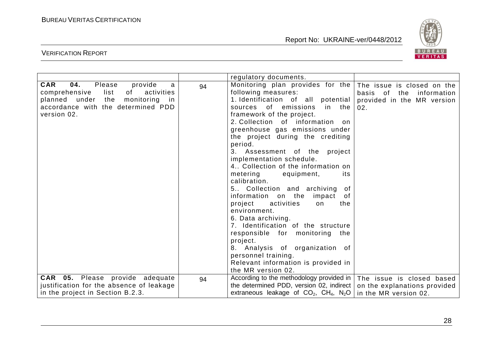

|                                                                                                                                                                                         |    | regulatory documents.                                                                                                                                                                                                                                                                                                                                                                                                                                                                                                                                                                                                                                                                                                                                                                      |                                                                                             |
|-----------------------------------------------------------------------------------------------------------------------------------------------------------------------------------------|----|--------------------------------------------------------------------------------------------------------------------------------------------------------------------------------------------------------------------------------------------------------------------------------------------------------------------------------------------------------------------------------------------------------------------------------------------------------------------------------------------------------------------------------------------------------------------------------------------------------------------------------------------------------------------------------------------------------------------------------------------------------------------------------------------|---------------------------------------------------------------------------------------------|
| <b>CAR</b><br>04.<br>Please<br>provide<br>a<br>comprehensive<br>list<br>of<br>activities<br>planned under the<br>monitoring<br>-in<br>accordance with the determined PDD<br>version 02. | 94 | Monitoring plan provides for the<br>following measures:<br>1. Identification of all potential<br>sources of emissions in the<br>framework of the project.<br>2. Collection of information on<br>greenhouse gas emissions under<br>the project during the crediting<br>period.<br>Assessment of the project<br>3.<br>implementation schedule.<br>4 Collection of the information on<br>equipment,<br>metering<br>its<br>calibration.<br>5 Collection and archiving of<br>information on the impact of<br>project<br>activities<br>on<br>the<br>environment.<br>6. Data archiving.<br>7. Identification of the structure<br>responsible for monitoring the<br>project.<br>8. Analysis of organization of<br>personnel training.<br>Relevant information is provided in<br>the MR version 02. | The issue is closed on the<br>basis of the information<br>provided in the MR version<br>02. |
| CAR 05. Please provide adequate<br>justification for the absence of leakage<br>in the project in Section B.2.3.                                                                         | 94 | According to the methodology provided in   The issue is closed based<br>the determined PDD, version 02, indirect<br>extraneous leakage of $CO_2$ , $CH_4$ , N <sub>2</sub> O                                                                                                                                                                                                                                                                                                                                                                                                                                                                                                                                                                                                               | on the explanations provided<br>in the MR version 02.                                       |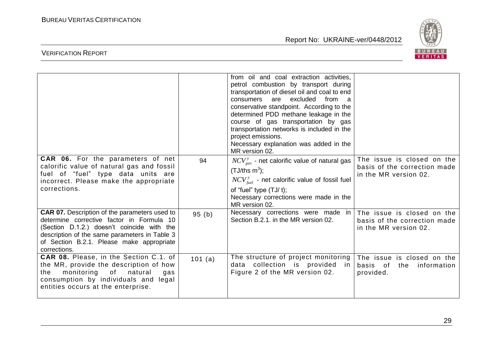

|                                                                                                                                                                                                                                                               |         | from oil and coal extraction activities,<br>petrol combustion by transport during<br>transportation of diesel oil and coal to end<br>excluded<br>consumers<br>from a<br>are<br>conservative standpoint. According to the<br>determined PDD methane leakage in the<br>course of gas transportation by gas<br>transportation networks is included in the<br>project emissions.<br>Necessary explanation was added in the<br>MR version 02. |                                                                                     |
|---------------------------------------------------------------------------------------------------------------------------------------------------------------------------------------------------------------------------------------------------------------|---------|------------------------------------------------------------------------------------------------------------------------------------------------------------------------------------------------------------------------------------------------------------------------------------------------------------------------------------------------------------------------------------------------------------------------------------------|-------------------------------------------------------------------------------------|
| <b>CAR 06.</b> For the parameters of net<br>calorific value of natural gas and fossil<br>fuel of "fuel" type data units are<br>incorrect. Please make the appropriate<br>corrections.                                                                         | 94      | $NCV_{gas}^{y}$ - net calorific value of natural gas<br>$(TJ/ths m3)$ ;<br>$NCV_{\text{fuel}}^{y}$ - net calorific value of fossil fuel<br>of "fuel" type $(TJ/t)$ ;<br>Necessary corrections were made in the<br>MR version 02.                                                                                                                                                                                                         | The issue is closed on the<br>basis of the correction made<br>in the MR version 02. |
| <b>CAR 07.</b> Description of the parameters used to<br>determine corrective factor in Formula 10<br>(Section D.1.2.) doesn't coincide with the<br>description of the same parameters in Table 3<br>of Section B.2.1. Please make appropriate<br>corrections. | 95(b)   | Necessary corrections were made in<br>Section B.2.1. in the MR version 02.                                                                                                                                                                                                                                                                                                                                                               | The issue is closed on the<br>basis of the correction made<br>in the MR version 02. |
| CAR 08. Please, in the Section C.1. of<br>the MR, provide the description of how<br>monitoring<br>of<br>natural<br>the<br>gas<br>consumption by individuals and legal<br>entities occurs at the enterprise.                                                   | 101 (a) | The structure of project monitoring<br>data collection is provided<br>in.<br>Figure 2 of the MR version 02.                                                                                                                                                                                                                                                                                                                              | The issue is closed on the<br>basis of<br>the<br>information<br>provided.           |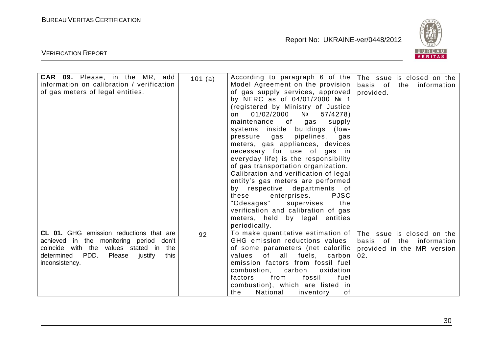

| CAR 09. Please, in the MR, add<br>information on calibration / verification<br>of gas meters of legal entities.                                                                                   | 101(a) | According to paragraph 6 of the<br>Model Agreement on the provision<br>of gas supply services, approved<br>by NERC as of 04/01/2000 № 1<br>(registered by Ministry of Justice<br>01/02/2000<br>Nº<br>57/4278<br>on<br>maintenance of<br>gas<br>supply<br>systems inside buildings (low-<br>pressure gas<br>pipelines, gas<br>meters, gas appliances, devices<br>necessary for use of gas in<br>everyday life) is the responsibility<br>of gas transportation organization.<br>Calibration and verification of legal<br>entity's gas meters are performed<br>by respective departments of<br>these<br><b>PJSC</b><br>enterprises.<br>"Odesagas" supervises<br>the<br>verification and calibration of gas<br>meters, held by legal entities<br>periodically. | The issue is closed on the<br>basis of the information<br>provided.                            |
|---------------------------------------------------------------------------------------------------------------------------------------------------------------------------------------------------|--------|------------------------------------------------------------------------------------------------------------------------------------------------------------------------------------------------------------------------------------------------------------------------------------------------------------------------------------------------------------------------------------------------------------------------------------------------------------------------------------------------------------------------------------------------------------------------------------------------------------------------------------------------------------------------------------------------------------------------------------------------------------|------------------------------------------------------------------------------------------------|
| CL 01. GHG emission reductions that are<br>achieved in the monitoring period don't<br>coincide with the values stated in<br>the<br>determined PDD.<br>Please<br>justify<br>this<br>inconsistency. | 92     | To make quantitative estimation of<br>GHG emission reductions values<br>of some parameters (net calorific<br>values of all fuels, carbon<br>emission factors from fossil fuel<br>combustion, carbon<br>oxidation<br>from<br>fossil<br>fuel<br>factors<br>combustion), which are listed in<br>the<br>National<br>of<br>inventory                                                                                                                                                                                                                                                                                                                                                                                                                            | The issue is closed on the<br>basis of the<br>information<br>provided in the MR version<br>02. |